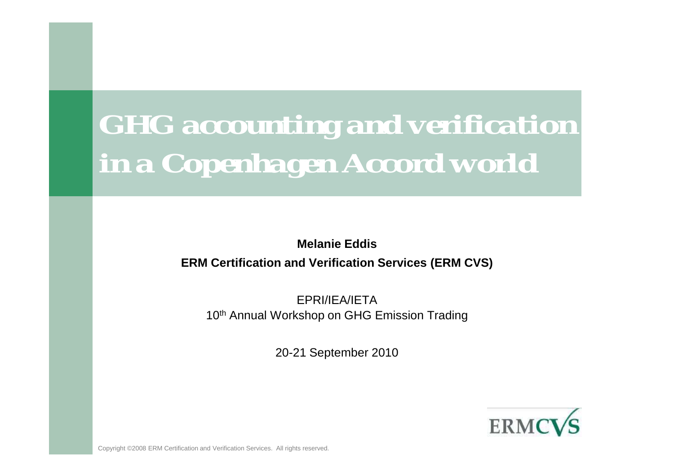# *GHG accounting and verification in a Copenhagen Accord world*

**Melanie EddisERM Certification and Verification Services (ERM CVS)**

EPRI/IEA/IETA10<sup>th</sup> Annual Workshop on GHG Emission Trading

20-21 September 2010



Copyright ©2008 ERM Certification and Verification Services. All rights reserved.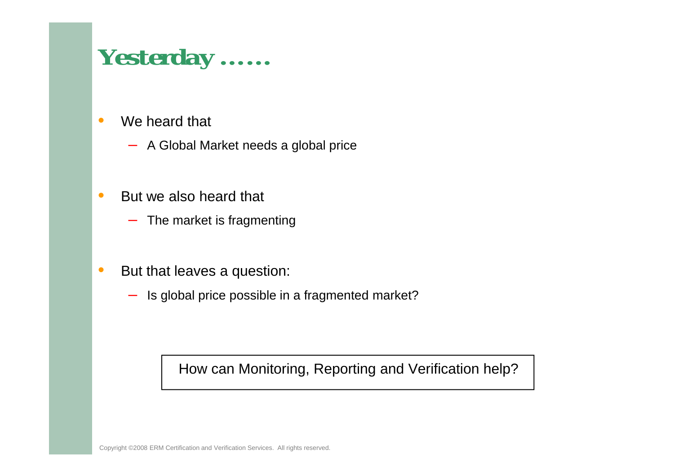#### *Yesterday ……*

- • We heard that
	- A Global Market needs a global price
- • But we also heard that
	- $-$  The market is fragmenting
- • But that leaves a question:
	- $-$  Is global price possible in a fragmented market?

How can Monitoring, Reporting and Verification help?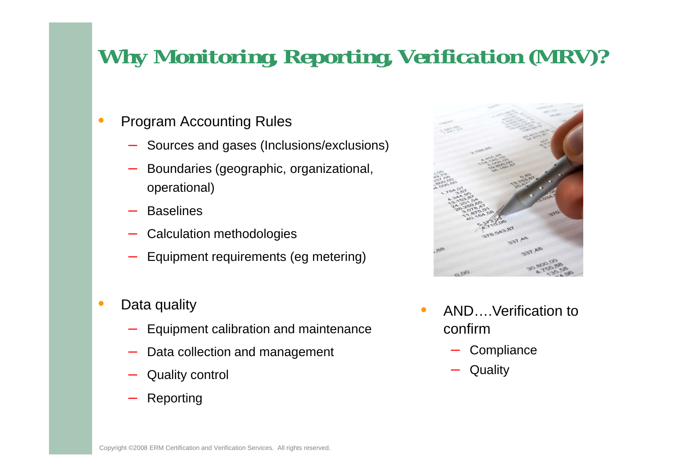#### *Why Monitoring, Reporting, Verification (MRV)?*

- • Program Accounting Rules
	- Sources and gases (Inclusions/exclusions)
	- Boundaries (geographic, organizational, operational)
	- **Baselines**
	- Calculation methodologies
	- **Lating Contracts** Equipment requirements (eg metering)
- • Data quality
	- Equipment calibration and maintenance
	- Data collection and management
	- Quality control
	- Reporting



- • AND….Verification to confirm
	- **Compliance**
	- **Quality**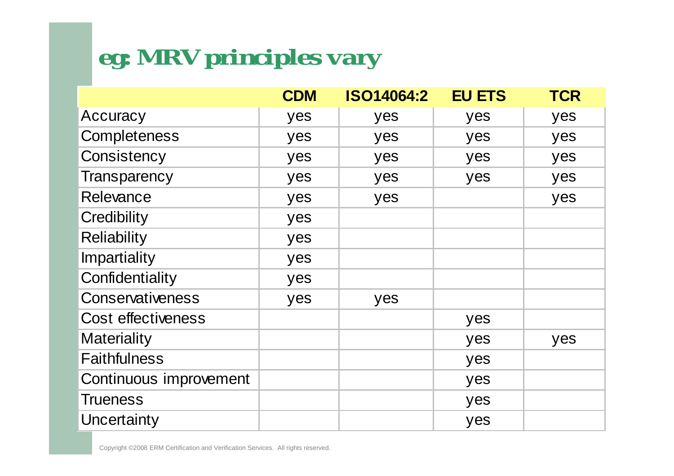# *eg: MRV principles vary*

|                           | <b>CDM</b> | <b>ISO14064:2</b> | <b>EU ETS</b> | <b>TCR</b> |
|---------------------------|------------|-------------------|---------------|------------|
| Accuracy                  | yes        | yes               | yes           | yes        |
| Completeness              | yes        | yes               | yes           | yes        |
| Consistency               | yes        | yes               | yes           | yes        |
| <b>Transparency</b>       | yes        | yes               | yes           | yes        |
| Relevance                 | yes        | yes               |               | yes        |
| Credibility               | yes        |                   |               |            |
| <b>Reliability</b>        | yes        |                   |               |            |
| <b>Impartiality</b>       | yes        |                   |               |            |
| Confidentiality           | yes        |                   |               |            |
| Conservativeness          | yes        | yes               |               |            |
| <b>Cost effectiveness</b> |            |                   | yes           |            |
| <b>Materiality</b>        |            |                   | yes           | yes        |
| <b>Faithfulness</b>       |            |                   | yes           |            |
| Continuous improvement    |            |                   | yes           |            |
| <b>Trueness</b>           |            |                   | yes           |            |
| Uncertainty               |            |                   | yes           |            |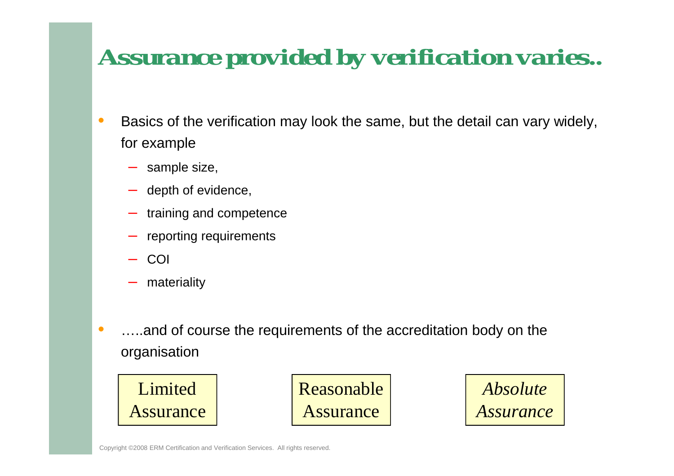## *Assurance provided by verification varies..*

- $\bullet$  Basics of the verification may look the same, but the detail can vary widely, for example
	- sample size,
	- depth of evidence,
	- training and competence
	- reporting requirements
	- COI
	- materiality
- • …..and of course the requirements of the accreditation body on the organisation



Reasonable Assurance

*Absolute Assurance*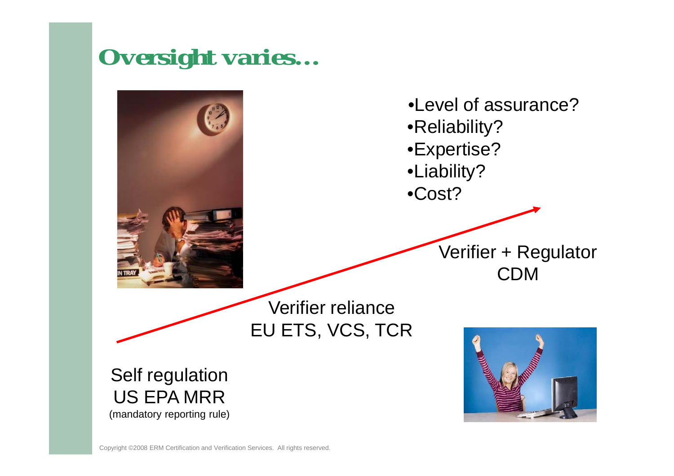#### *Oversight varies…*

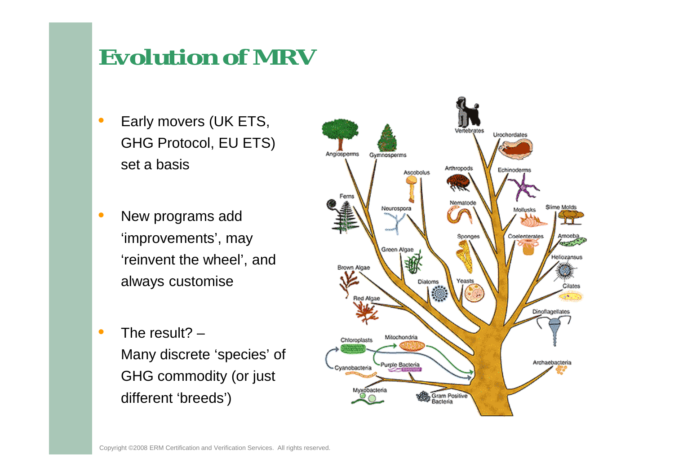#### *Evolution of MRV*

- • Early movers (UK ETS, GHG Protocol, EU ETS) set a basis
- • New programs add 'improvements', may 'reinvent the wheel', and always customise
- • The result? –Many discrete 'species' of GHG commodity (or just different 'breeds')

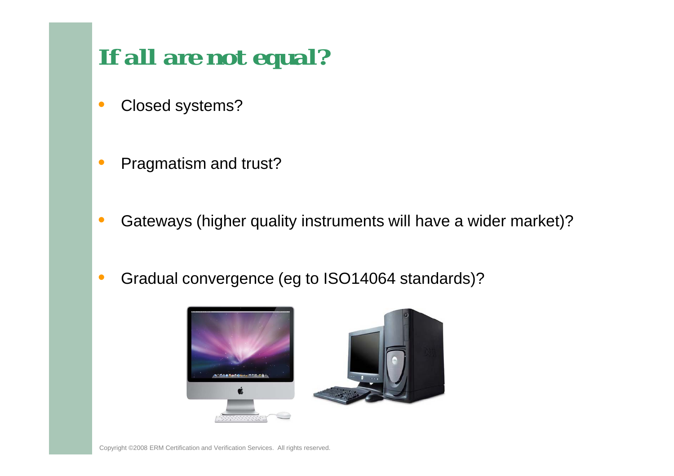## *If all are not equal?*

- •Closed systems?
- •Pragmatism and trust?
- •Gateways (higher quality instruments will have a wider market)?
- •Gradual convergence (eg to ISO14064 standards)?